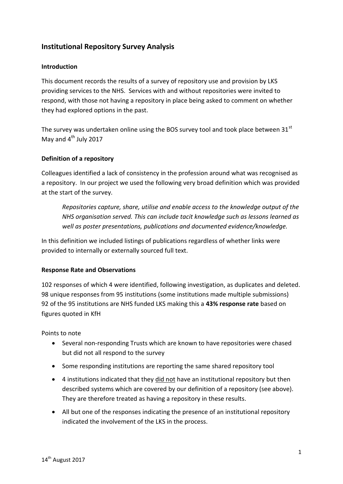### **Institutional Repository Survey Analysis**

#### **Introduction**

This document records the results of a survey of repository use and provision by LKS providing services to the NHS. Services with and without repositories were invited to respond, with those not having a repository in place being asked to comment on whether they had explored options in the past.

The survey was undertaken online using the BOS survey tool and took place between  $31<sup>st</sup>$ May and  $4^{th}$  July 2017

#### **Definition of a repository**

Colleagues identified a lack of consistency in the profession around what was recognised as a repository. In our project we used the following very broad definition which was provided at the start of the survey.

*Repositories capture, share, utilise and enable access to the knowledge output of the NHS organisation served. This can include tacit knowledge such as lessons learned as well as poster presentations, publications and documented evidence/knowledge.*

In this definition we included listings of publications regardless of whether links were provided to internally or externally sourced full text.

#### **Response Rate and Observations**

102 responses of which 4 were identified, following investigation, as duplicates and deleted. 98 unique responses from 95 institutions (some institutions made multiple submissions) 92 of the 95 institutions are NHS funded LKS making this a **43% response rate** based on figures quoted in KfH

Points to note

- Several non-responding Trusts which are known to have repositories were chased but did not all respond to the survey
- Some responding institutions are reporting the same shared repository tool
- 4 institutions indicated that they did not have an institutional repository but then described systems which are covered by our definition of a repository (see above). They are therefore treated as having a repository in these results.
- All but one of the responses indicating the presence of an institutional repository indicated the involvement of the LKS in the process.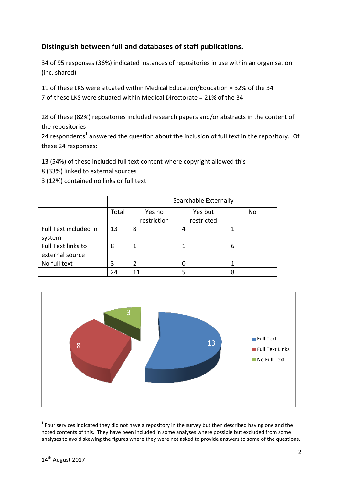## **Distinguish between full and databases of staff publications.**

34 of 95 responses (36%) indicated instances of repositories in use within an organisation (inc. shared)

11 of these LKS were situated within Medical Education/Education = 32% of the 34 7 of these LKS were situated within Medical Directorate = 21% of the 34

28 of these (82%) repositories included research papers and/or abstracts in the content of the repositories

24 respondents<sup>1</sup> answered the question about the inclusion of full text in the repository. Of these 24 responses:

13 (54%) of these included full text content where copyright allowed this

- 8 (33%) linked to external sources
- 3 (12%) contained no links or full text

|                                       |       |                       | Searchable Externally |    |
|---------------------------------------|-------|-----------------------|-----------------------|----|
|                                       | Total | Yes no<br>restriction | Yes but<br>restricted | No |
| Full Text included in<br>system       | 13    | 8                     | 4                     |    |
| Full Text links to<br>external source | 8     |                       |                       | 6  |
| No full text                          | 3     | 2                     |                       |    |
|                                       | 24    |                       | 5                     | Ջ  |



**<sup>.</sup>**  $1$  Four services indicated they did not have a repository in the survey but then described having one and the noted contents of this. They have been included in some analyses where possible but excluded from some analyses to avoid skewing the figures where they were not asked to provide answers to some of the questions.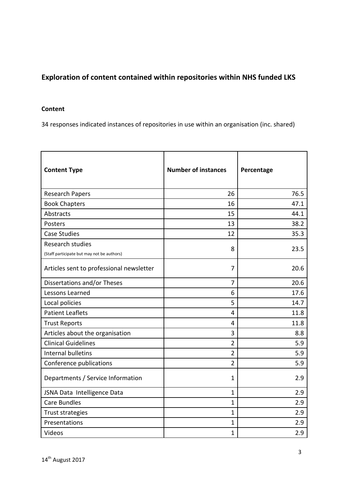## **Exploration of content contained within repositories within NHS funded LKS**

#### **Content**

34 responses indicated instances of repositories in use within an organisation (inc. shared)

| <b>Content Type</b>                                                   | <b>Number of instances</b> | Percentage |
|-----------------------------------------------------------------------|----------------------------|------------|
| <b>Research Papers</b>                                                | 26                         | 76.5       |
| <b>Book Chapters</b>                                                  | 16                         | 47.1       |
| <b>Abstracts</b>                                                      | 15                         | 44.1       |
| Posters                                                               | 13                         | 38.2       |
| <b>Case Studies</b>                                                   | 12                         | 35.3       |
| <b>Research studies</b><br>(Staff participate but may not be authors) | 8                          | 23.5       |
| Articles sent to professional newsletter                              | 7                          | 20.6       |
| Dissertations and/or Theses                                           | 7                          | 20.6       |
| Lessons Learned                                                       | 6                          | 17.6       |
| Local policies                                                        | 5                          | 14.7       |
| <b>Patient Leaflets</b>                                               | 4                          | 11.8       |
| <b>Trust Reports</b>                                                  | $\overline{4}$             | 11.8       |
| Articles about the organisation                                       | 3                          | 8.8        |
| <b>Clinical Guidelines</b>                                            | $\overline{2}$             | 5.9        |
| Internal bulletins                                                    | $\overline{2}$             | 5.9        |
| Conference publications                                               | $\overline{2}$             | 5.9        |
| Departments / Service Information                                     | 1                          | 2.9        |
| JSNA Data Intelligence Data                                           | $\mathbf{1}$               | 2.9        |
| <b>Care Bundles</b>                                                   | $\mathbf{1}$               | 2.9        |
| <b>Trust strategies</b>                                               | $\mathbf{1}$               | 2.9        |
| Presentations                                                         | $\mathbf{1}$               | 2.9        |
| Videos                                                                | $\mathbf{1}$               | 2.9        |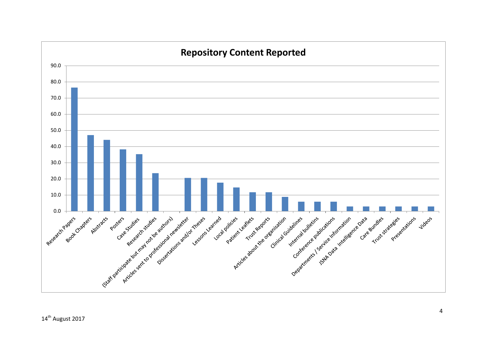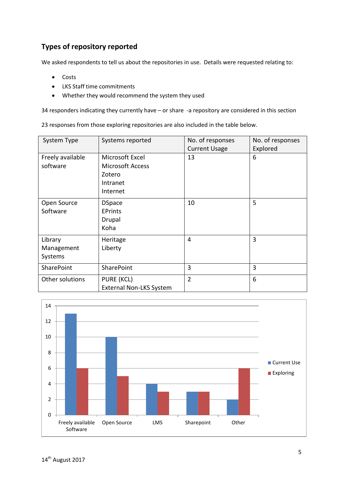# **Types of repository reported**

We asked respondents to tell us about the repositories in use. Details were requested relating to:

- Costs
- LKS Staff time commitments
- Whether they would recommend the system they used

34 responders indicating they currently have – or share -a repository are considered in this section

23 responses from those exploring repositories are also included in the table below.

| System Type                      | Systems reported                                                             | No. of responses<br><b>Current Usage</b> | No. of responses<br>Explored |
|----------------------------------|------------------------------------------------------------------------------|------------------------------------------|------------------------------|
| Freely available<br>software     | Microsoft Excel<br><b>Microsoft Access</b><br>Zotero<br>Intranet<br>Internet | 13                                       | 6                            |
| Open Source<br>Software          | <b>DSpace</b><br><b>EPrints</b><br>Drupal<br>Koha                            | 10                                       | 5                            |
| Library<br>Management<br>Systems | Heritage<br>Liberty                                                          | 4                                        | 3                            |
| SharePoint                       | SharePoint                                                                   | 3                                        | 3                            |
| Other solutions                  | PURE (KCL)<br><b>External Non-LKS System</b>                                 | $\overline{2}$                           | 6                            |

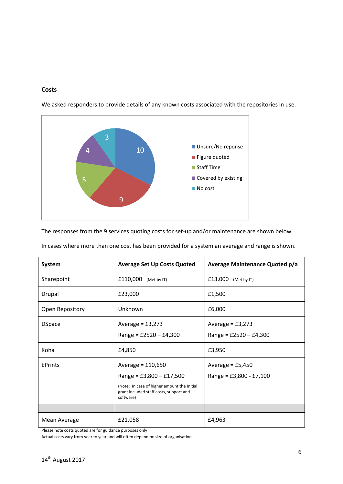#### **Costs**



We asked responders to provide details of any known costs associated with the repositories in use.

The responses from the 9 services quoting costs for set-up and/or maintenance are shown below

| System          | <b>Average Set Up Costs Quoted</b>                                                                                                                       | <b>Average Maintenance Quoted p/a</b>           |
|-----------------|----------------------------------------------------------------------------------------------------------------------------------------------------------|-------------------------------------------------|
| Sharepoint      | £110,000 (Met by IT)                                                                                                                                     | £13,000<br>(Met by IT)                          |
| Drupal          | £23,000                                                                                                                                                  | £1,500                                          |
| Open Repository | Unknown                                                                                                                                                  | £6,000                                          |
| <b>DSpace</b>   | Average = $£3,273$<br>Range = $£2520 - £4,300$                                                                                                           | Average = $£3,273$<br>Range = $£2520 - £4,300$  |
| Koha            | £4,850                                                                                                                                                   | £3,950                                          |
| <b>EPrints</b>  | Average = $£10,650$<br>Range = £3,800 $-$ £17,500<br>(Note: In case of higher amount the Initial<br>grant included staff costs, support and<br>software) | Average = $£5,450$<br>Range = $£3,800 - £7,100$ |
|                 |                                                                                                                                                          |                                                 |
| Mean Average    | £21,058                                                                                                                                                  | £4,963                                          |

In cases where more than one cost has been provided for a system an average and range is shown.

Please note costs quoted are for guidance purposes only

Actual costs vary from year to year and will often depend on size of organisation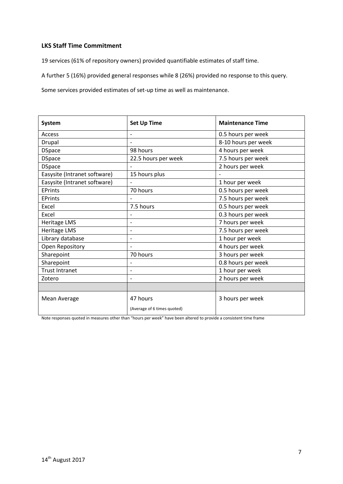#### **LKS Staff Time Commitment**

19 services (61% of repository owners) provided quantifiable estimates of staff time.

A further 5 (16%) provided general responses while 8 (26%) provided no response to this query.

Some services provided estimates of set-up time as well as maintenance.

| <b>System</b>                | <b>Set Up Time</b>          | <b>Maintenance Time</b> |
|------------------------------|-----------------------------|-------------------------|
| Access                       |                             | 0.5 hours per week      |
| Drupal                       |                             | 8-10 hours per week     |
| <b>DSpace</b>                | 98 hours                    | 4 hours per week        |
| <b>DSpace</b>                | 22.5 hours per week         | 7.5 hours per week      |
| <b>DSpace</b>                |                             | 2 hours per week        |
| Easysite (Intranet software) | 15 hours plus               |                         |
| Easysite (Intranet software) |                             | 1 hour per week         |
| <b>FPrints</b>               | 70 hours                    | 0.5 hours per week      |
| <b>EPrints</b>               |                             | 7.5 hours per week      |
| Excel                        | 7.5 hours                   | 0.5 hours per week      |
| Excel                        |                             | 0.3 hours per week      |
| <b>Heritage LMS</b>          | $\overline{a}$              | 7 hours per week        |
| <b>Heritage LMS</b>          | $\overline{a}$              | 7.5 hours per week      |
| Library database             | $\overline{\phantom{0}}$    | 1 hour per week         |
| Open Repository              |                             | 4 hours per week        |
| Sharepoint                   | 70 hours                    | 3 hours per week        |
| Sharepoint                   |                             | 0.8 hours per week      |
| <b>Trust Intranet</b>        | $\overline{\phantom{a}}$    | 1 hour per week         |
| Zotero                       | $\overline{\phantom{a}}$    | 2 hours per week        |
|                              |                             |                         |
| Mean Average                 | 47 hours                    | 3 hours per week        |
|                              | (Average of 6 times quoted) |                         |

Note responses quoted in measures other than "hours per week" have been altered to provide a consistent time frame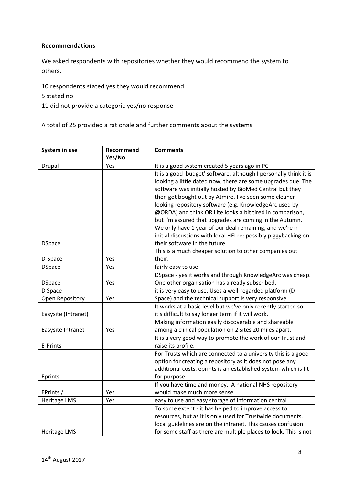#### **Recommendations**

We asked respondents with repositories whether they would recommend the system to others.

10 respondents stated yes they would recommend

5 stated no

11 did not provide a categoric yes/no response

A total of 25 provided a rationale and further comments about the systems

| System in use       | Recommend<br>Yes/No | <b>Comments</b>                                                   |
|---------------------|---------------------|-------------------------------------------------------------------|
| Drupal              | Yes                 | It is a good system created 5 years ago in PCT                    |
|                     |                     | It is a good 'budget' software, although I personally think it is |
|                     |                     | looking a little dated now, there are some upgrades due. The      |
|                     |                     | software was initially hosted by BioMed Central but they          |
|                     |                     | then got bought out by Atmire. I've seen some cleaner             |
|                     |                     | looking repository software (e.g. KnowledgeArc used by            |
|                     |                     | @ORDA) and think OR Lite looks a bit tired in comparison,         |
|                     |                     | but I'm assured that upgrades are coming in the Autumn.           |
|                     |                     | We only have 1 year of our deal remaining, and we're in           |
|                     |                     | initial discussions with local HEI re: possibly piggybacking on   |
| <b>DSpace</b>       |                     | their software in the future.                                     |
|                     |                     | This is a much cheaper solution to other companies out            |
| D-Space             | Yes                 | their.                                                            |
| <b>DSpace</b>       | Yes                 | fairly easy to use                                                |
|                     |                     | DSpace - yes it works and through KnowledgeArc was cheap.         |
| <b>DSpace</b>       | Yes                 | One other organisation has already subscribed.                    |
| D Space             |                     | it is very easy to use. Uses a well-regarded platform (D-         |
| Open Repository     | Yes                 | Space) and the technical support is very responsive.              |
|                     |                     | It works at a basic level but we've only recently started so      |
| Easysite (Intranet) |                     | it's difficult to say longer term if it will work.                |
|                     |                     | Making information easily discoverable and shareable              |
| Easysite Intranet   | Yes                 | among a clinical population on 2 sites 20 miles apart.            |
|                     |                     | It is a very good way to promote the work of our Trust and        |
| E-Prints            |                     | raise its profile.                                                |
|                     |                     | For Trusts which are connected to a university this is a good     |
|                     |                     | option for creating a repository as it does not pose any          |
|                     |                     | additional costs. eprints is an established system which is fit   |
| Eprints             |                     | for purpose.                                                      |
|                     |                     | If you have time and money. A national NHS repository             |
| EPrints /           | Yes                 | would make much more sense.                                       |
| <b>Heritage LMS</b> | Yes                 | easy to use and easy storage of information central               |
|                     |                     | To some extent - it has helped to improve access to               |
|                     |                     | resources, but as it is only used for Trustwide documents,        |
|                     |                     | local guidelines are on the intranet. This causes confusion       |
| Heritage LMS        |                     | for some staff as there are multiple places to look. This is not  |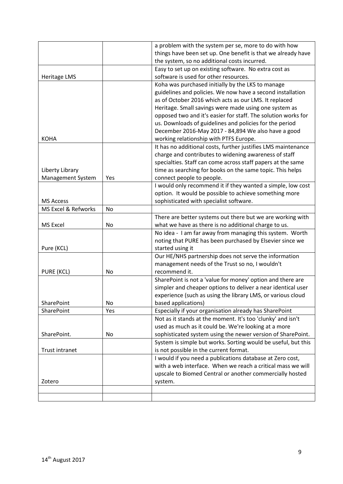|                     |     | a problem with the system per se, more to do with how         |
|---------------------|-----|---------------------------------------------------------------|
|                     |     | things have been set up. One benefit is that we already have  |
|                     |     | the system, so no additional costs incurred.                  |
|                     |     | Easy to set up on existing software. No extra cost as         |
| Heritage LMS        |     | software is used for other resources.                         |
|                     |     | Koha was purchased initially by the LKS to manage             |
|                     |     | guidelines and policies. We now have a second installation    |
|                     |     | as of October 2016 which acts as our LMS. It replaced         |
|                     |     | Heritage. Small savings were made using one system as         |
|                     |     | opposed two and it's easier for staff. The solution works for |
|                     |     | us. Downloads of guidelines and policies for the period       |
|                     |     | December 2016-May 2017 - 84,894 We also have a good           |
| <b>KOHA</b>         |     | working relationship with PTFS Europe.                        |
|                     |     | It has no additional costs, further justifies LMS maintenance |
|                     |     | charge and contributes to widening awareness of staff         |
|                     |     | specialties. Staff can come across staff papers at the same   |
| Liberty Library     |     | time as searching for books on the same topic. This helps     |
| Management System   | Yes | connect people to people.                                     |
|                     |     | I would only recommend it if they wanted a simple, low cost   |
|                     |     | option. It would be possible to achieve something more        |
| <b>MS Access</b>    |     | sophisticated with specialist software.                       |
| MS Excel & Refworks | No  |                                                               |
|                     |     | There are better systems out there but we are working with    |
| <b>MS Excel</b>     | No  | what we have as there is no additional charge to us.          |
|                     |     | No idea - I am far away from managing this system. Worth      |
|                     |     | noting that PURE has been purchased by Elsevier since we      |
| Pure (KCL)          |     | started using it                                              |
|                     |     | Our HE/NHS partnership does not serve the information         |
|                     |     | management needs of the Trust so no, I wouldn't               |
| PURE (KCL)          | No  | recommend it.                                                 |
|                     |     | SharePoint is not a 'value for money' option and there are    |
|                     |     | simpler and cheaper options to deliver a near identical user  |
|                     |     | experience (such as using the library LMS, or various cloud   |
| <b>SharePoint</b>   | No. | based applications)                                           |
| <b>SharePoint</b>   | Yes | Especially if your organisation already has SharePoint        |
|                     |     | Not as it stands at the moment. It's too 'clunky' and isn't   |
|                     |     | used as much as it could be. We're looking at a more          |
| SharePoint.         | No. | sophisticated system using the newer version of SharePoint.   |
|                     |     | System is simple but works. Sorting would be useful, but this |
| Trust intranet      |     | is not possible in the current format.                        |
|                     |     | I would if you need a publications database at Zero cost,     |
|                     |     | with a web interface. When we reach a critical mass we will   |
|                     |     | upscale to Biomed Central or another commercially hosted      |
| Zotero              |     | system.                                                       |
|                     |     |                                                               |
|                     |     |                                                               |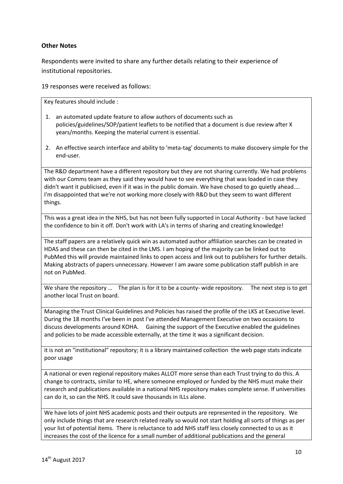#### **Other Notes**

Respondents were invited to share any further details relating to their experience of institutional repositories.

19 responses were received as follows:

Key features should include :

- 1. an automated update feature to allow authors of documents such as policies/guidelines/SOP/patient leaflets to be notified that a document is due review after X years/months. Keeping the material current is essential.
- 2. An effective search interface and ability to 'meta-tag' documents to make discovery simple for the end-user.

The R&D department have a different repository but they are not sharing currently. We had problems with our Comms team as they said they would have to see everything that was loaded in case they didn't want it publicised, even if it was in the public domain. We have chosed to go quietly ahead.... I'm disappointed that we're not working more closely with R&D but they seem to want different things.

This was a great idea in the NHS, but has not been fully supported in Local Authority - but have lacked the confidence to bin it off. Don't work with LA's in terms of sharing and creating knowledge!

The staff papers are a relatively quick win as automated author affiliation searches can be created in HDAS and these can then be cited in the LMS. I am hoping of the majority can be linked out to PubMed this will provide maintained links to open access and link out to publishers for further details. Making abstracts of papers unnecessary. However I am aware some publication staff publish in are not on PubMed.

We share the repository ... The plan is for it to be a county- wide repository. The next step is to get another local Trust on board.

Managing the Trust Clinical Guidelines and Policies has raised the profile of the LKS at Executive level. During the 18 months I've been in post I've attended Management Executive on two occasions to discuss developments around KOHA. Gaining the support of the Executive enabled the guidelines and policies to be made accessible externally, at the time it was a significant decision.

it is not an "institutional" repository; it is a library maintained collection the web page stats indicate poor usage

A national or even regional repository makes ALLOT more sense than each Trust trying to do this. A change to contracts, similar to HE, where someone employed or funded by the NHS must make their research and publications available in a national NHS repository makes complete sense. If universities can do it, so can the NHS. It could save thousands in ILLs alone.

We have lots of joint NHS academic posts and their outputs are represented in the repository. We only include things that are research related really so would not start holding all sorts of things as per your list of potential items. There is reluctance to add NHS staff less closely connected to us as it increases the cost of the licence for a small number of additional publications and the general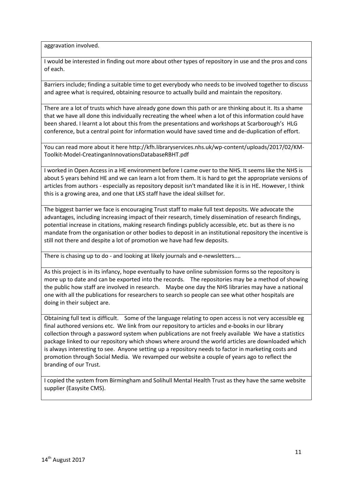aggravation involved.

I would be interested in finding out more about other types of repository in use and the pros and cons of each.

Barriers include; finding a suitable time to get everybody who needs to be involved together to discuss and agree what is required, obtaining resource to actually build and maintain the repository.

There are a lot of trusts which have already gone down this path or are thinking about it. Its a shame that we have all done this individually recreating the wheel when a lot of this information could have been shared. I learnt a lot about this from the presentations and workshops at Scarborough's HLG conference, but a central point for information would have saved time and de-duplication of effort.

You can read more about it here http://kfh.libraryservices.nhs.uk/wp-content/uploads/2017/02/KM-Toolkit-Model-CreatinganInnovationsDatabaseRBHT.pdf

I worked in Open Access in a HE environment before I came over to the NHS. It seems like the NHS is about 5 years behind HE and we can learn a lot from them. It is hard to get the appropriate versions of articles from authors - especially as repository deposit isn't mandated like it is in HE. However, I think this is a growing area, and one that LKS staff have the ideal skillset for.

The biggest barrier we face is encouraging Trust staff to make full text deposits. We advocate the advantages, including increasing impact of their research, timely dissemination of research findings, potential increase in citations, making research findings publicly accessible, etc. but as there is no mandate from the organisation or other bodies to deposit in an institutional repository the incentive is still not there and despite a lot of promotion we have had few deposits.

There is chasing up to do - and looking at likely journals and e-newsletters....

As this project is in its infancy, hope eventually to have online submission forms so the repository is more up to date and can be exported into the records. The repositories may be a method of showing the public how staff are involved in research. Maybe one day the NHS libraries may have a national one with all the publications for researchers to search so people can see what other hospitals are doing in their subject are.

Obtaining full text is difficult. Some of the language relating to open access is not very accessible eg final authored versions etc. We link from our repository to articles and e-books in our library collection through a password system when publications are not freely available We have a statistics package linked to our repository which shows where around the world articles are downloaded which is always interesting to see. Anyone setting up a repository needs to factor in marketing costs and promotion through Social Media. We revamped our website a couple of years ago to reflect the branding of our Trust.

I copied the system from Birmingham and Solihull Mental Health Trust as they have the same website supplier (Easysite CMS).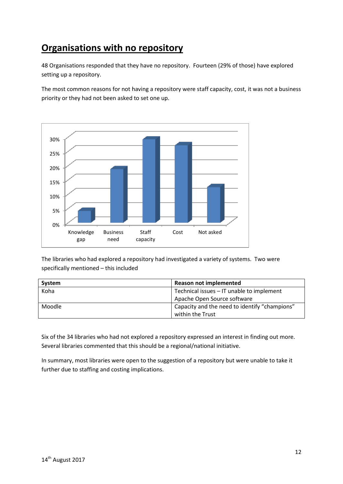# **Organisations with no repository**

48 Organisations responded that they have no repository. Fourteen (29% of those) have explored setting up a repository.

The most common reasons for not having a repository were staff capacity, cost, it was not a business priority or they had not been asked to set one up.



The libraries who had explored a repository had investigated a variety of systems. Two were specifically mentioned – this included

| System | <b>Reason not implemented</b>                 |
|--------|-----------------------------------------------|
| Koha   | Technical issues - IT unable to implement     |
|        | Apache Open Source software                   |
| Moodle | Capacity and the need to identify "champions" |
|        | within the Trust                              |

Six of the 34 libraries who had not explored a repository expressed an interest in finding out more. Several libraries commented that this should be a regional/national initiative.

In summary, most libraries were open to the suggestion of a repository but were unable to take it further due to staffing and costing implications.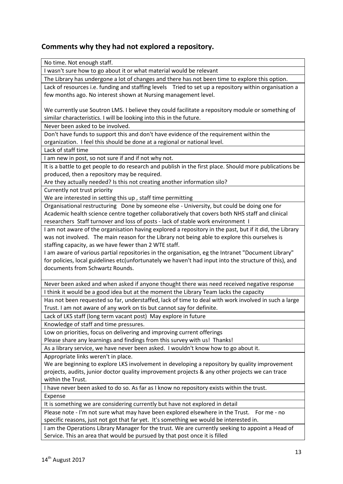### **Comments why they had not explored a repository.**

No time. Not enough staff. I wasn't sure how to go about it or what material would be relevant The Library has undergone a lot of changes and there has not been time to explore this option. Lack of resources i.e. funding and staffing levels Tried to set up a repository within organisation a few months ago. No interest shown at Nursing management level. We currently use Soutron LMS. I believe they could facilitate a repository module or something of similar characteristics. I will be looking into this in the future. Never been asked to be involved. Don't have funds to support this and don't have evidence of the requirement within the organization. I feel this should be done at a regional or national level. Lack of staff time I am new in post, so not sure if and if not why not. It is a battle to get people to do research and publish in the first place. Should more publications be produced, then a repository may be required. Are they actually needed? Is this not creating another information silo? Currently not trust priority We are interested in setting this up , staff time permitting Organisational restructuring Done by someone else - University, but could be doing one for Academic health science centre together collaboratively that covers both NHS staff and clinical researchers Staff turnover and loss of posts - lack of stable work environment I I am not aware of the organisation having explored a repository in the past, but if it did, the Library was not involved. The main reason for the Library not being able to explore this ourselves is staffing capacity, as we have fewer than 2 WTE staff. I am aware of various partial repositories in the organisation, eg the Intranet "Document Library" for policies, local guidelines etc(unfortunately we haven't had input into the structure of this), and documents from Schwartz Rounds. Never been asked and when asked if anyone thought there was need received negative response I think it would be a good idea but at the moment the Library Team lacks the capacity Has not been requested so far, understaffed, lack of time to deal with work involved in such a large Trust. I am not aware of any work on tis but cannot say for definite. Lack of LKS staff (long term vacant post) May explore in future Knowledge of staff and time pressures. Low on priorities, focus on delivering and improving current offerings Please share any learnings and findings from this survey with us! Thanks! As a library service, we have never been asked. I wouldn't know how to go about it. Appropriate links weren't in place. We are beginning to explore LKS involvement in developing a repository by quality improvement projects, audits, junior doctor quality improvement projects & any other projects we can trace within the Trust.

I have never been asked to do so. As far as I know no repository exists within the trust. Expense

It is something we are considering currently but have not explored in detail

Please note - I'm not sure what may have been explored elsewhere in the Trust. For me - no specific reasons, just not got that far yet. It's something we would be interested in.

I am the Operations Library Manager for the trust. We are currently seeking to appoint a Head of Service. This an area that would be pursued by that post once it is filled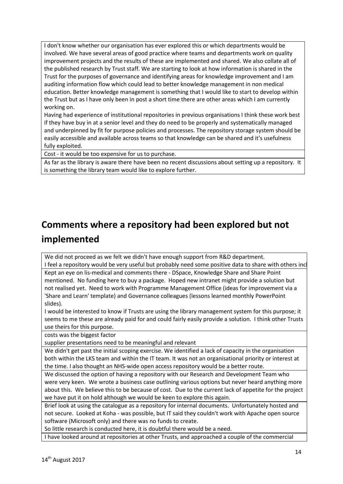I don't know whether our organisation has ever explored this or which departments would be involved. We have several areas of good practice where teams and departments work on quality improvement projects and the results of these are implemented and shared. We also collate all of the published research by Trust staff. We are starting to look at how information is shared in the Trust for the purposes of governance and identifying areas for knowledge improvement and I am auditing information flow which could lead to better knowledge management in non medical education. Better knowledge management is something that I would like to start to develop within the Trust but as I have only been in post a short time there are other areas which I am currently working on.

Having had experience of institutional repositories in previous organisations I think these work best if they have buy in at a senior level and they do need to be properly and systematically managed and underpinned by fit for purpose policies and processes. The repository storage system should be easily accessible and available across teams so that knowledge can be shared and it's usefulness fully exploited.

Cost - it would be too expensive for us to purchase.

As far as the library is aware there have been no recent discussions about setting up a repository. It is something the library team would like to explore further.

# **Comments where a repository had been explored but not implemented**

We did not proceed as we felt we didn't have enough support from R&D department. I feel a repository would be very useful but probably need some positive data to share with others inc

Kept an eye on lis-medical and comments there - DSpace, Knowledge Share and Share Point mentioned. No funding here to buy a package. Hoped new intranet might provide a solution but not realised yet. Need to work with Programme Management Office (ideas for improvement via a 'Share and Learn' template) and Governance colleagues (lessons learned monthly PowerPoint slides).

I would be interested to know if Trusts are using the library management system for this purpose; it seems to me these are already paid for and could fairly easily provide a solution. I think other Trusts use theirs for this purpose.

costs was the biggest factor

supplier presentations need to be meaningful and relevant

We didn't get past the initial scoping exercise. We identified a lack of capacity in the organisation both within the LKS team and within the IT team. It was not an organisational priority or interest at the time. I also thought an NHS-wide open access repository would be a better route.

We discussed the option of having a repository with our Research and Development Team who were very keen. We wrote a business case outlining various options but never heard anything more about this. We believe this to be because of cost. Due to the current lack of appetite for the project we have put it on hold although we would be keen to explore this again.

Brief look at using the catalogue as a repository for internal documents. Unfortunately hosted and not secure. Looked at Koha - was possible, but IT said they couldn't work with Apache open source software (Microsoft only) and there was no funds to create.

So little research is conducted here, it is doubtful there would be a need.

I have looked around at repositories at other Trusts, and approached a couple of the commercial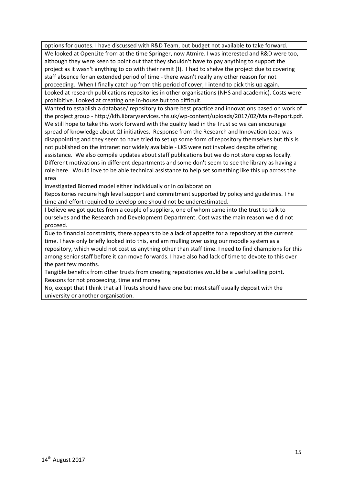options for quotes. I have discussed with R&D Team, but budget not available to take forward. We looked at OpenLite from at the time Springer, now Atmire. I was interested and R&D were too, although they were keen to point out that they shouldn't have to pay anything to support the project as it wasn't anything to do with their remit (!). I had to shelve the project due to covering staff absence for an extended period of time - there wasn't really any other reason for not proceeding. When I finally catch up from this period of cover, I intend to pick this up again.

Looked at research publications repositories in other organisations (NHS and academic). Costs were prohibitive. Looked at creating one in-house but too difficult.

Wanted to establish a database/ repository to share best practice and innovations based on work of the project group - http://kfh.libraryservices.nhs.uk/wp-content/uploads/2017/02/Main-Report.pdf. We still hope to take this work forward with the quality lead in the Trust so we can encourage spread of knowledge about QI initiatives. Response from the Research and Innovation Lead was disappointing and they seem to have tried to set up some form of repository themselves but this is not published on the intranet nor widely available - LKS were not involved despite offering assistance. We also compile updates about staff publications but we do not store copies locally. Different motivations in different departments and some don't seem to see the library as having a role here. Would love to be able technical assistance to help set something like this up across the area

investigated Biomed model either individually or in collaboration

Repositories require high level support and commitment supported by policy and guidelines. The time and effort required to develop one should not be underestimated.

I believe we got quotes from a couple of suppliers, one of whom came into the trust to talk to ourselves and the Research and Development Department. Cost was the main reason we did not proceed.

Due to financial constraints, there appears to be a lack of appetite for a repository at the current time. I have only briefly looked into this, and am mulling over using our moodle system as a repository, which would not cost us anything other than staff time. I need to find champions for this among senior staff before it can move forwards. I have also had lack of time to devote to this over the past few months.

Tangible benefits from other trusts from creating repositories would be a useful selling point. Reasons for not proceeding, time and money

No, except that I think that all Trusts should have one but most staff usually deposit with the university or another organisation.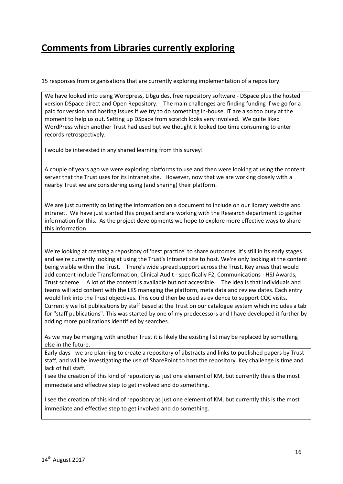# **Comments from Libraries currently exploring**

15 responses from organisations that are currently exploring implementation of a repository.

We have looked into using Wordpress, Libguides, free repository software - DSpace plus the hosted version DSpace direct and Open Repository. The main challenges are finding funding if we go for a paid for version and hosting issues if we try to do something in-house. IT are also too busy at the moment to help us out. Setting up DSpace from scratch looks very involved. We quite liked WordPress which another Trust had used but we thought it looked too time consuming to enter records retrospectively.

I would be interested in any shared learning from this survey!

A couple of years ago we were exploring platforms to use and then were looking at using the content server that the Trust uses for its intranet site. However, now that we are working closely with a nearby Trust we are considering using (and sharing) their platform.

We are just currently collating the information on a document to include on our library website and intranet. We have just started this project and are working with the Research department to gather information for this. As the project developments we hope to explore more effective ways to share this information

We're looking at creating a repository of 'best practice' to share outcomes. It's still in its early stages and we're currently looking at using the Trust's Intranet site to host. We're only looking at the content being visible within the Trust. There's wide spread support across the Trust. Key areas that would add content include Transformation, Clinical Audit - specifically F2, Communications - HSJ Awards, Trust scheme. A lot of the content is available but not accessible. The idea is that individuals and teams will add content with the LKS managing the platform, meta data and review dates. Each entry would link into the Trust objectives. This could then be used as evidence to support CQC visits. Currently we list publications by staff based at the Trust on our catalogue system which includes a tab for "staff publications". This was started by one of my predecessors and I have developed it further by adding more publications identified by searches.

As we may be merging with another Trust it is likely the existing list may be replaced by something else in the future.

Early days - we are planning to create a repository of abstracts and links to published papers by Trust staff, and will be investigating the use of SharePoint to host the repository. Key challenge is time and lack of full staff.

I see the creation of this kind of repository as just one element of KM, but currently this is the most immediate and effective step to get involved and do something.

I see the creation of this kind of repository as just one element of KM, but currently this is the most immediate and effective step to get involved and do something.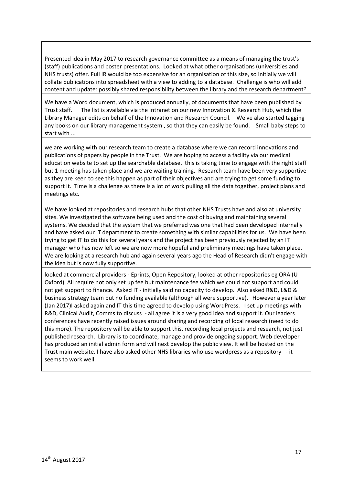Presented idea in May 2017 to research governance committee as a means of managing the trust's (staff) publications and poster presentations. Looked at what other organisations (universities and NHS trusts) offer. Full IR would be too expensive for an organisation of this size, so initially we will collate publications into spreadsheet with a view to adding to a database. Challenge is who will add content and update: possibly shared responsibility between the library and the research department?

We have a Word document, which is produced annually, of documents that have been published by Trust staff. The list is available via the Intranet on our new Innovation & Research Hub, which the Library Manager edits on behalf of the Innovation and Research Council. We've also started tagging any books on our library management system , so that they can easily be found. Small baby steps to start with ...

we are working with our research team to create a database where we can record innovations and publications of papers by people in the Trust. We are hoping to access a facility via our medical education website to set up the searchable database. this is taking time to engage with the right staff but 1 meeting has taken place and we are waiting training. Research team have been very supportive as they are keen to see this happen as part of their objectives and are trying to get some funding to support it. Time is a challenge as there is a lot of work pulling all the data together, project plans and meetings etc.

We have looked at repositories and research hubs that other NHS Trusts have and also at university sites. We investigated the software being used and the cost of buying and maintaining several systems. We decided that the system that we preferred was one that had been developed internally and have asked our IT department to create something with similar capabilities for us. We have been trying to get IT to do this for several years and the project has been previously rejected by an IT manager who has now left so we are now more hopeful and preliminary meetings have taken place. We are looking at a research hub and again several years ago the Head of Research didn't engage with the idea but is now fully supportive.

looked at commercial providers - Eprints, Open Repository, looked at other repositories eg ORA (U Oxford) All require not only set up fee but maintenance fee which we could not support and could not get support to finance. Asked IT - initially said no capacity to develop. Also asked R&D, L&D & business strategy team but no funding available (although all were supportive). However a year later (Jan 2017)I asked again and IT this time agreed to develop using WordPress. I set up meetings with R&D, Clinical Audit, Comms to discuss - all agree it is a very good idea and support it. Our leaders conferences have recently raised issues around sharing and recording of local research (need to do this more). The repository will be able to support this, recording local projects and research, not just published research. Library is to coordinate, manage and provide ongoing support. Web developer has produced an initial admin form and will next develop the public view. It will be hosted on the Trust main website. I have also asked other NHS libraries who use wordpress as a repository - it seems to work well.